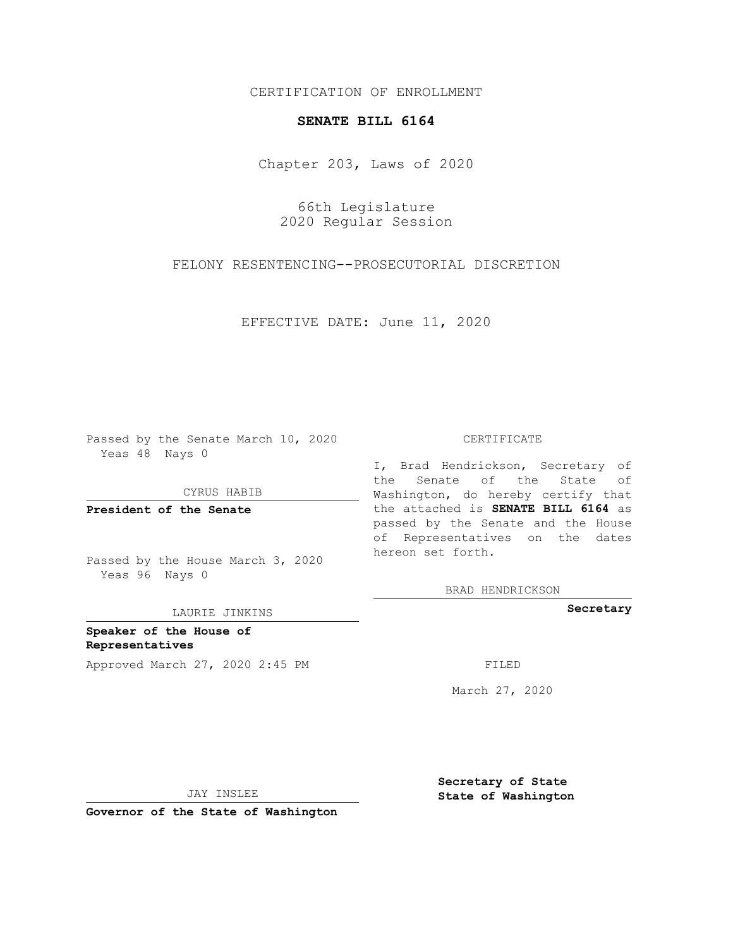CERTIFICATION OF ENROLLMENT

## **SENATE BILL 6164**

Chapter 203, Laws of 2020

66th Legislature 2020 Regular Session

FELONY RESENTENCING--PROSECUTORIAL DISCRETION

EFFECTIVE DATE: June 11, 2020

Passed by the Senate March 10, 2020 Yeas 48 Nays 0

CYRUS HABIB

**President of the Senate**

Passed by the House March 3, 2020 Yeas 96 Nays 0

LAURIE JINKINS

**Speaker of the House of Representatives** Approved March 27, 2020 2:45 PM

## CERTIFICATE

I, Brad Hendrickson, Secretary of the Senate of the State of Washington, do hereby certify that the attached is **SENATE BILL 6164** as passed by the Senate and the House of Representatives on the dates hereon set forth.

BRAD HENDRICKSON

**Secretary**

March 27, 2020

JAY INSLEE

**Governor of the State of Washington**

**Secretary of State State of Washington**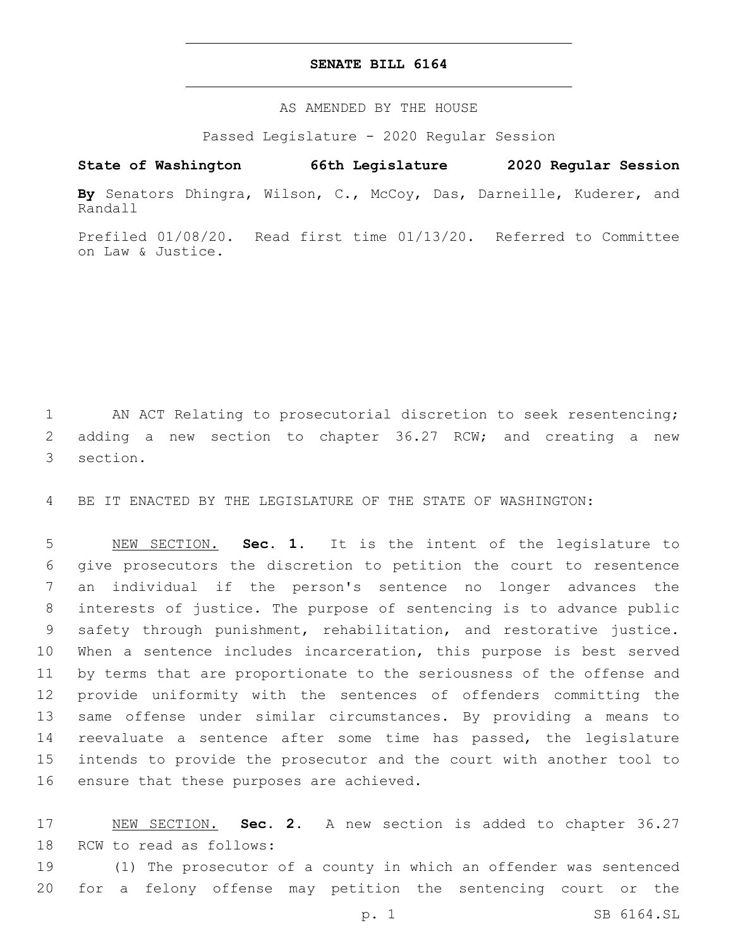## **SENATE BILL 6164**

AS AMENDED BY THE HOUSE

Passed Legislature - 2020 Regular Session

## **State of Washington 66th Legislature 2020 Regular Session**

**By** Senators Dhingra, Wilson, C., McCoy, Das, Darneille, Kuderer, and Randall

Prefiled 01/08/20. Read first time 01/13/20. Referred to Committee on Law & Justice.

 AN ACT Relating to prosecutorial discretion to seek resentencing; adding a new section to chapter 36.27 RCW; and creating a new 3 section.

BE IT ENACTED BY THE LEGISLATURE OF THE STATE OF WASHINGTON:

 NEW SECTION. **Sec. 1.** It is the intent of the legislature to give prosecutors the discretion to petition the court to resentence an individual if the person's sentence no longer advances the interests of justice. The purpose of sentencing is to advance public safety through punishment, rehabilitation, and restorative justice. When a sentence includes incarceration, this purpose is best served by terms that are proportionate to the seriousness of the offense and provide uniformity with the sentences of offenders committing the same offense under similar circumstances. By providing a means to reevaluate a sentence after some time has passed, the legislature intends to provide the prosecutor and the court with another tool to ensure that these purposes are achieved.

 NEW SECTION. **Sec. 2.** A new section is added to chapter 36.27 18 RCW to read as follows:

 (1) The prosecutor of a county in which an offender was sentenced for a felony offense may petition the sentencing court or the